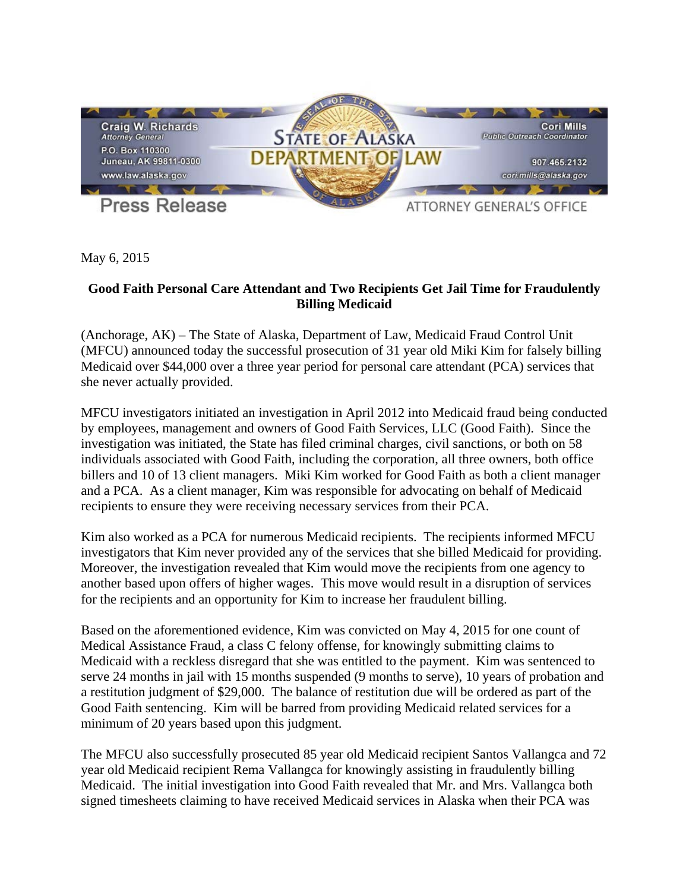

May 6, 2015

## **Good Faith Personal Care Attendant and Two Recipients Get Jail Time for Fraudulently Billing Medicaid**

(Anchorage, AK) – The State of Alaska, Department of Law, Medicaid Fraud Control Unit (MFCU) announced today the successful prosecution of 31 year old Miki Kim for falsely billing Medicaid over \$44,000 over a three year period for personal care attendant (PCA) services that she never actually provided.

MFCU investigators initiated an investigation in April 2012 into Medicaid fraud being conducted by employees, management and owners of Good Faith Services, LLC (Good Faith). Since the investigation was initiated, the State has filed criminal charges, civil sanctions, or both on 58 individuals associated with Good Faith, including the corporation, all three owners, both office billers and 10 of 13 client managers. Miki Kim worked for Good Faith as both a client manager and a PCA. As a client manager, Kim was responsible for advocating on behalf of Medicaid recipients to ensure they were receiving necessary services from their PCA.

Kim also worked as a PCA for numerous Medicaid recipients. The recipients informed MFCU investigators that Kim never provided any of the services that she billed Medicaid for providing. Moreover, the investigation revealed that Kim would move the recipients from one agency to another based upon offers of higher wages. This move would result in a disruption of services for the recipients and an opportunity for Kim to increase her fraudulent billing.

Based on the aforementioned evidence, Kim was convicted on May 4, 2015 for one count of Medical Assistance Fraud, a class C felony offense, for knowingly submitting claims to Medicaid with a reckless disregard that she was entitled to the payment. Kim was sentenced to serve 24 months in jail with 15 months suspended (9 months to serve), 10 years of probation and a restitution judgment of \$29,000. The balance of restitution due will be ordered as part of the Good Faith sentencing. Kim will be barred from providing Medicaid related services for a minimum of 20 years based upon this judgment.

The MFCU also successfully prosecuted 85 year old Medicaid recipient Santos Vallangca and 72 year old Medicaid recipient Rema Vallangca for knowingly assisting in fraudulently billing Medicaid. The initial investigation into Good Faith revealed that Mr. and Mrs. Vallangca both signed timesheets claiming to have received Medicaid services in Alaska when their PCA was